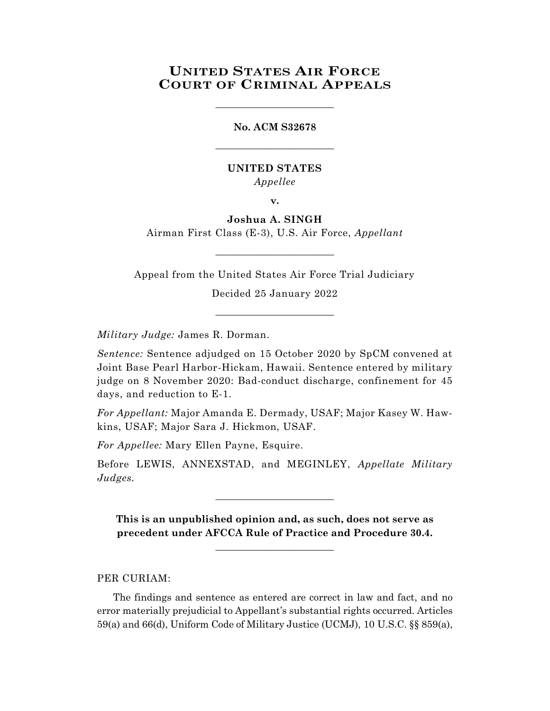## **UNITED STATES AIR FORCE COURT OF CRIMINAL APPEALS**

# **No. ACM S32678** \_\_\_\_\_\_\_\_\_\_\_\_\_\_\_\_\_\_\_\_\_\_\_\_

\_\_\_\_\_\_\_\_\_\_\_\_\_\_\_\_\_\_\_\_\_\_\_\_

### **UNITED STATES** *Appellee*

**v.**

### **Joshua A. SINGH**

Airman First Class (E-3), U.S. Air Force, *Appellant*  $\_$ 

Appeal from the United States Air Force Trial Judiciary

Decided 25 January 2022 \_\_\_\_\_\_\_\_\_\_\_\_\_\_\_\_\_\_\_\_\_\_\_\_

*Military Judge:* James R. Dorman.

*Sentence:* Sentence adjudged on 15 October 2020 by SpCM convened at Joint Base Pearl Harbor-Hickam, Hawaii. Sentence entered by military judge on 8 November 2020: Bad-conduct discharge, confinement for 45 days, and reduction to E-1.

*For Appellant:* Major Amanda E. Dermady, USAF; Major Kasey W. Hawkins, USAF; Major Sara J. Hickmon, USAF.

*For Appellee:* Mary Ellen Payne, Esquire.

Before LEWIS, ANNEXSTAD, and MEGINLEY, *Appellate Military Judges.*

\_\_\_\_\_\_\_\_\_\_\_\_\_\_\_\_\_\_\_\_\_\_\_\_

**This is an unpublished opinion and, as such, does not serve as precedent under AFCCA Rule of Practice and Procedure 30.4.**

**\_\_\_\_\_\_\_\_\_\_\_\_\_\_\_\_\_\_\_\_\_\_\_\_**

#### PER CURIAM:

The findings and sentence as entered are correct in law and fact, and no error materially prejudicial to Appellant's substantial rights occurred. Articles 59(a) and 66(d), Uniform Code of Military Justice (UCMJ), 10 U.S.C. §§ 859(a),